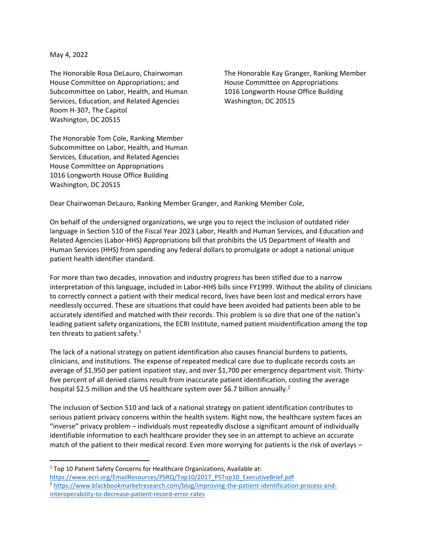May 4, 2022

House Committee on Appropriations; and The House Committee on Appropriations Subcommittee on Labor, Health, and Human 1016 Longworth House Office Building Services, Education, and Related Agencies Washington, DC 20515 Room H-307, The Capitol Washington, DC 20515

The Honorable Rosa DeLauro, Chairwoman The Honorable Kay Granger, Ranking Member

The Honorable Tom Cole, Ranking Member Subcommittee on Labor, Health, and Human Services, Education, and Related Agencies House Committee on Appropriations 1016 Longworth House Office Building Washington, DC 20515

Dear Chairwoman DeLauro, Ranking Member Granger, and Ranking Member Cole,

On behalf of the undersigned organizations, we urge you to reject the inclusion of outdated rider language in Section 510 of the Fiscal Year 2023 Labor, Health and Human Services, and Education and Related Agencies (Labor-HHS) Appropriations bill that prohibits the US Department of Health and Human Services (HHS) from spending any federal dollars to promulgate or adopt a national unique patient health identifier standard.

For more than two decades, innovation and industry progress has been stifled due to a narrow interpretation of this language, included in Labor-HHS bills since FY1999. Without the ability of clinicians to correctly connect a patient with their medical record, lives have been lost and medical errors have needlessly occurred. These are situations that could have been avoided had patients been able to be accurately identified and matched with their records. This problem is so dire that one of the nation's leading patient safety organizations, the ECRI Institute, named patient misidentification among the top ten threats to patient safety. $1$ 

The lack of a national strategy on patient identification also causes financial burdens to patients, clinicians, and institutions. The expense of repeated medical care due to duplicate records costs an average of \$1,950 per patient inpatient stay, and over \$1,700 per emergency department visit. Thirtyfive percent of all denied claims result from inaccurate patient identification, costing the average hospital \$2.5 million and the US healthcare system over \$6.7 billion annually.<sup>2</sup>

The inclusion of Section 510 and lack of a national strategy on patient identification contributes to serious patient privacy concerns within the health system. Right now, the healthcare system faces an "inverse" privacy problem – individuals must repeatedly disclose a significant amount of individually identifiable information to each healthcare provider they see in an attempt to achieve an accurate match of the patient to their medical record. Even more worrying for patients is the risk of overlays –

<sup>&</sup>lt;sup>1</sup> Top 10 Patient Safety Concerns for Healthcare Organizations, Available at:

[https://www.ecri.org/EmailResources/PSRQ/Top10/2017\\_PSTop10\\_ExecutiveBrief.pdf](https://www.ecri.org/EmailResources/PSRQ/Top10/2017_PSTop10_ExecutiveBrief.pdf)

<sup>2</sup> [https://www.blackbookmarketresearch.com/blog/improving-the-patient-identification-process-and](https://www.blackbookmarketresearch.com/blog/improving-the-patient-identification-process-and-interoperability-to-decrease-patient-record-error-rates)[interoperability-to-decrease-patient-record-error-rates](https://www.blackbookmarketresearch.com/blog/improving-the-patient-identification-process-and-interoperability-to-decrease-patient-record-error-rates)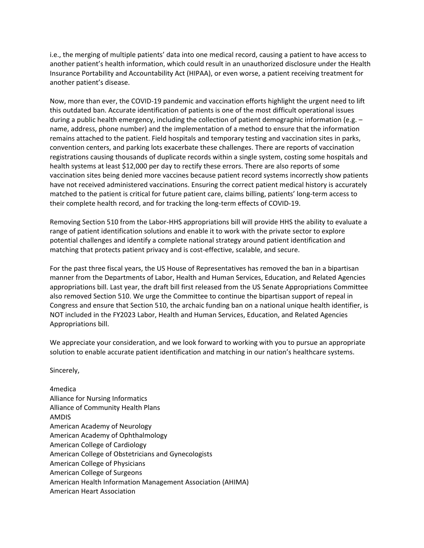i.e., the merging of multiple patients' data into one medical record, causing a patient to have access to another patient's health information, which could result in an unauthorized disclosure under the Health Insurance Portability and Accountability Act (HIPAA), or even worse, a patient receiving treatment for another patient's disease.

Now, more than ever, the COVID-19 pandemic and vaccination efforts highlight the urgent need to lift this outdated ban. Accurate identification of patients is one of the most difficult operational issues during a public health emergency, including the collection of patient demographic information (e.g. – name, address, phone number) and the implementation of a method to ensure that the information remains attached to the patient. Field hospitals and temporary testing and vaccination sites in parks, convention centers, and parking lots exacerbate these challenges. There are reports of vaccination registrations causing thousands of duplicate records within a single system, costing some hospitals and health systems at least \$12,000 per day to rectify these errors. There are also reports of some vaccination sites being denied more vaccines because patient record systems incorrectly show patients have not received administered vaccinations. Ensuring the correct patient medical history is accurately matched to the patient is critical for future patient care, claims billing, patients' long-term access to their complete health record, and for tracking the long-term effects of COVID-19.

Removing Section 510 from the Labor-HHS appropriations bill will provide HHS the ability to evaluate a range of patient identification solutions and enable it to work with the private sector to explore potential challenges and identify a complete national strategy around patient identification and matching that protects patient privacy and is cost-effective, scalable, and secure.

For the past three fiscal years, the US House of Representatives has removed the ban in a bipartisan manner from the Departments of Labor, Health and Human Services, Education, and Related Agencies appropriations bill. Last year, the draft bill first released from the US Senate Appropriations Committee also removed Section 510. We urge the Committee to continue the bipartisan support of repeal in Congress and ensure that Section 510, the archaic funding ban on a national unique health identifier, is NOT included in the FY2023 Labor, Health and Human Services, Education, and Related Agencies Appropriations bill.

We appreciate your consideration, and we look forward to working with you to pursue an appropriate solution to enable accurate patient identification and matching in our nation's healthcare systems.

Sincerely,

| 4medica                                                    |
|------------------------------------------------------------|
| <b>Alliance for Nursing Informatics</b>                    |
| <b>Alliance of Community Health Plans</b>                  |
| <b>AMDIS</b>                                               |
| American Academy of Neurology                              |
| American Academy of Ophthalmology                          |
| <b>American College of Cardiology</b>                      |
| American College of Obstetricians and Gynecologists        |
| <b>American College of Physicians</b>                      |
| American College of Surgeons                               |
| American Health Information Management Association (AHIMA) |
| American Heart Association                                 |
|                                                            |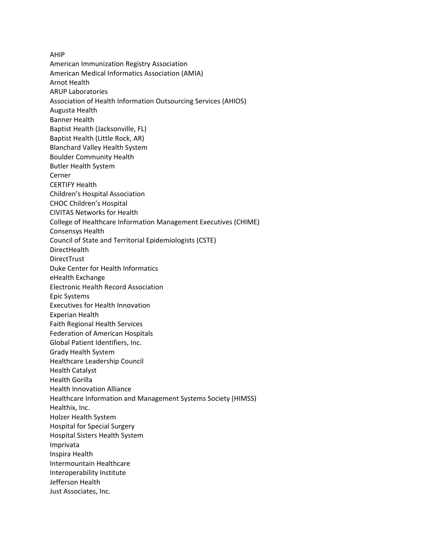AHIP American Immunization Registry Association American Medical Informatics Association (AMIA) Arnot Health ARUP Laboratories Association of Health Information Outsourcing Services (AHIOS) Augusta Health Banner Health Baptist Health (Jacksonville, FL) Baptist Health (Little Rock, AR) Blanchard Valley Health System Boulder Community Health Butler Health System Cerner CERTIFY Health Children's Hospital Association CHOC Children's Hospital CIVITAS Networks for Health College of Healthcare Information Management Executives (CHIME) Consensys Health Council of State and Territorial Epidemiologists (CSTE) **DirectHealth** DirectTrust Duke Center for Health Informatics eHealth Exchange Electronic Health Record Association Epic Systems Executives for Health Innovation Experian Health Faith Regional Health Services Federation of American Hospitals Global Patient Identifiers, Inc. Grady Health System Healthcare Leadership Council Health Catalyst Health Gorilla Health Innovation Alliance Healthcare Information and Management Systems Society (HIMSS) Healthix, Inc. Holzer Health System Hospital for Special Surgery Hospital Sisters Health System Imprivata Inspira Health Intermountain Healthcare Interoperability Institute Jefferson Health Just Associates, Inc.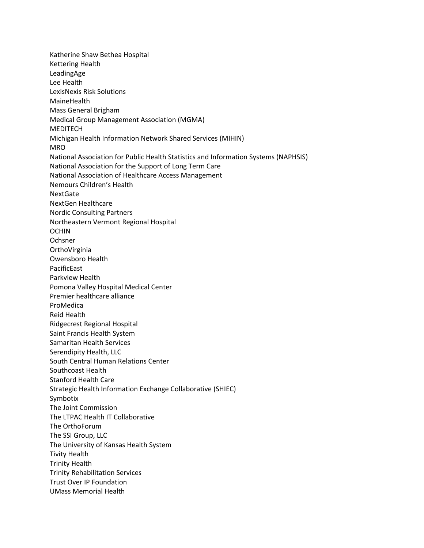Katherine Shaw Bethea Hospital Kettering Health LeadingAge Lee Health LexisNexis Risk Solutions MaineHealth Mass General Brigham Medical Group Management Association (MGMA) MEDITECH Michigan Health Information Network Shared Services (MIHIN) MRO National Association for Public Health Statistics and Information Systems (NAPHSIS) National Association for the Support of Long Term Care National Association of Healthcare Access Management Nemours Children's Health NextGate NextGen Healthcare Nordic Consulting Partners Northeastern Vermont Regional Hospital OCHIN Ochsner **OrthoVirginia** Owensboro Health PacificEast Parkview Health Pomona Valley Hospital Medical Center Premier healthcare alliance ProMedica Reid Health Ridgecrest Regional Hospital Saint Francis Health System Samaritan Health Services Serendipity Health, LLC South Central Human Relations Center Southcoast Health Stanford Health Care Strategic Health Information Exchange Collaborative (SHIEC) Symbotix The Joint Commission The LTPAC Health IT Collaborative The OrthoForum The SSI Group, LLC The University of Kansas Health System Tivity Health Trinity Health Trinity Rehabilitation Services Trust Over IP Foundation UMass Memorial Health